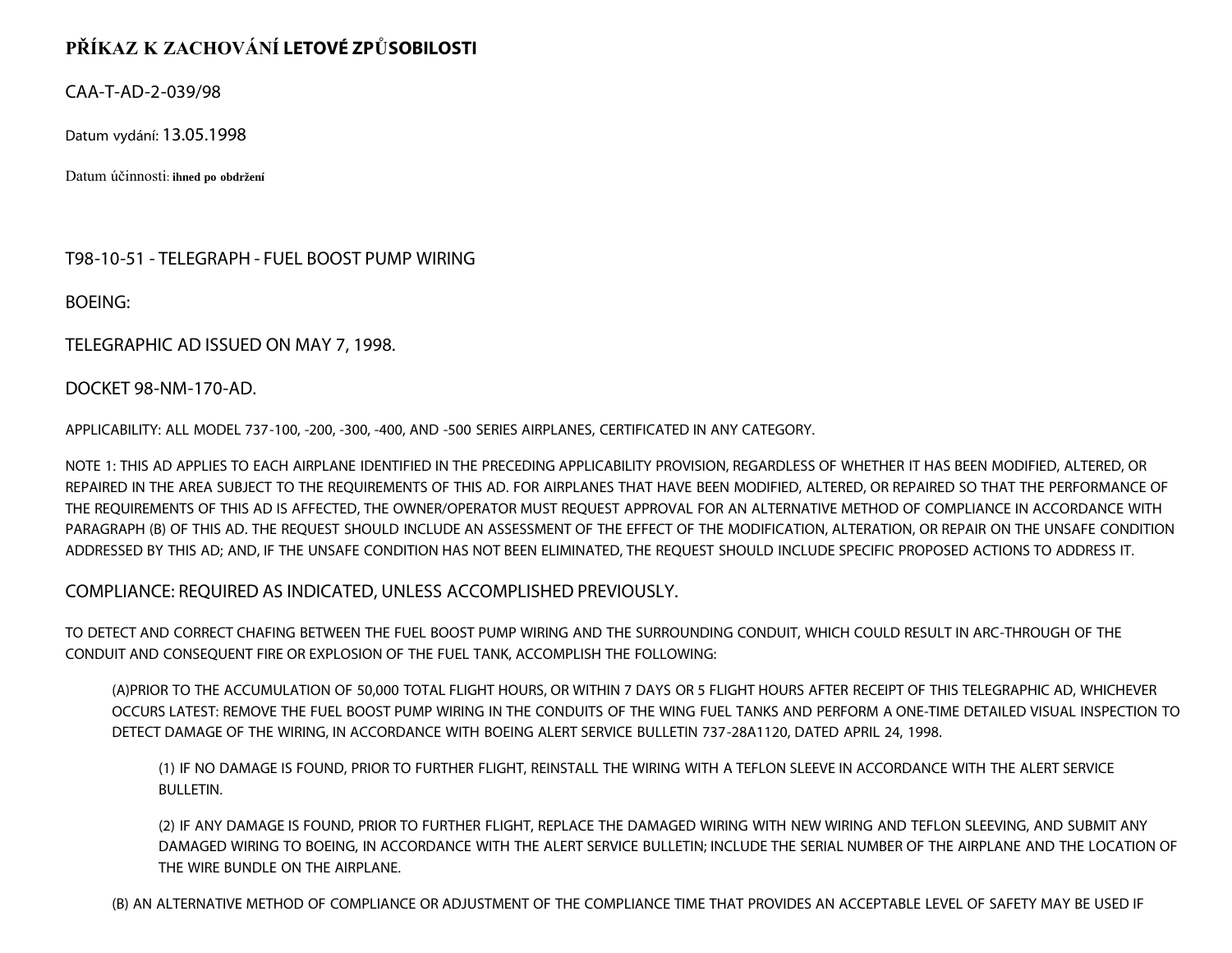## **PŘÍKAZ K ZACHOVÁNÍ LETOVÉ ZPŮSOBILOSTI**

CAA-T-AD-2-039/98

Datum vydání: 13.05.1998

Datum účinnosti: **ihned po obdržení**

T98-10-51 - TELEGRAPH - FUEL BOOST PUMP WIRING

BOEING:

TELEGRAPHIC AD ISSUED ON MAY 7, 1998.

DOCKET 98-NM-170-AD.

APPLICABILITY: ALL MODEL 737-100, -200, -300, -400, AND -500 SERIES AIRPLANES, CERTIFICATED IN ANY CATEGORY.

NOTE 1: THIS AD APPLIES TO EACH AIRPLANE IDENTIFIED IN THE PRECEDING APPLICABILITY PROVISION, REGARDLESS OF WHETHER IT HAS BEEN MODIFIED, ALTERED, OR REPAIRED IN THE AREA SUBJECT TO THE REQUIREMENTS OF THIS AD. FOR AIRPLANES THAT HAVE BEEN MODIFIED, ALTERED, OR REPAIRED SO THAT THE PERFORMANCE OF THE REQUIREMENTS OF THIS AD IS AFFECTED, THE OWNER/OPERATOR MUST REQUEST APPROVAL FOR AN ALTERNATIVE METHOD OF COMPLIANCE IN ACCORDANCE WITH PARAGRAPH (B) OF THIS AD. THE REQUEST SHOULD INCLUDE AN ASSESSMENT OF THE EFFECT OF THE MODIFICATION, ALTERATION, OR REPAIR ON THE UNSAFE CONDITION ADDRESSED BY THIS AD; AND, IF THE UNSAFE CONDITION HAS NOT BEEN ELIMINATED, THE REQUEST SHOULD INCLUDE SPECIFIC PROPOSED ACTIONS TO ADDRESS IT.

COMPLIANCE: REQUIRED AS INDICATED, UNLESS ACCOMPLISHED PREVIOUSLY.

TO DETECT AND CORRECT CHAFING BETWEEN THE FUEL BOOST PUMP WIRING AND THE SURROUNDING CONDUIT, WHICH COULD RESULT IN ARC-THROUGH OF THE CONDUIT AND CONSEQUENT FIRE OR EXPLOSION OF THE FUEL TANK, ACCOMPLISH THE FOLLOWING:

(A)PRIOR TO THE ACCUMULATION OF 50,000 TOTAL FLIGHT HOURS, OR WITHIN 7 DAYS OR 5 FLIGHT HOURS AFTER RECEIPT OF THIS TELEGRAPHIC AD, WHICHEVER OCCURS LATEST: REMOVE THE FUEL BOOST PUMP WIRING IN THE CONDUITS OF THE WING FUEL TANKS AND PERFORM A ONE-TIME DETAILED VISUAL INSPECTION TO DETECT DAMAGE OF THE WIRING, IN ACCORDANCE WITH BOEING ALERT SERVICE BULLETIN 737-28A1120, DATED APRIL 24, 1998.

(1) IF NO DAMAGE IS FOUND, PRIOR TO FURTHER FLIGHT, REINSTALL THE WIRING WITH A TEFLON SLEEVE IN ACCORDANCE WITH THE ALERT SERVICE BULLETIN.

(2) IF ANY DAMAGE IS FOUND, PRIOR TO FURTHER FLIGHT, REPLACE THE DAMAGED WIRING WITH NEW WIRING AND TEFLON SLEEVING, AND SUBMIT ANY DAMAGED WIRING TO BOEING, IN ACCORDANCE WITH THE ALERT SERVICE BULLETIN; INCLUDE THE SERIAL NUMBER OF THE AIRPLANE AND THE LOCATION OF THE WIRE BUNDLE ON THE AIRPLANE.

(B) AN ALTERNATIVE METHOD OF COMPLIANCE OR ADJUSTMENT OF THE COMPLIANCE TIME THAT PROVIDES AN ACCEPTABLE LEVEL OF SAFETY MAY BE USED IF